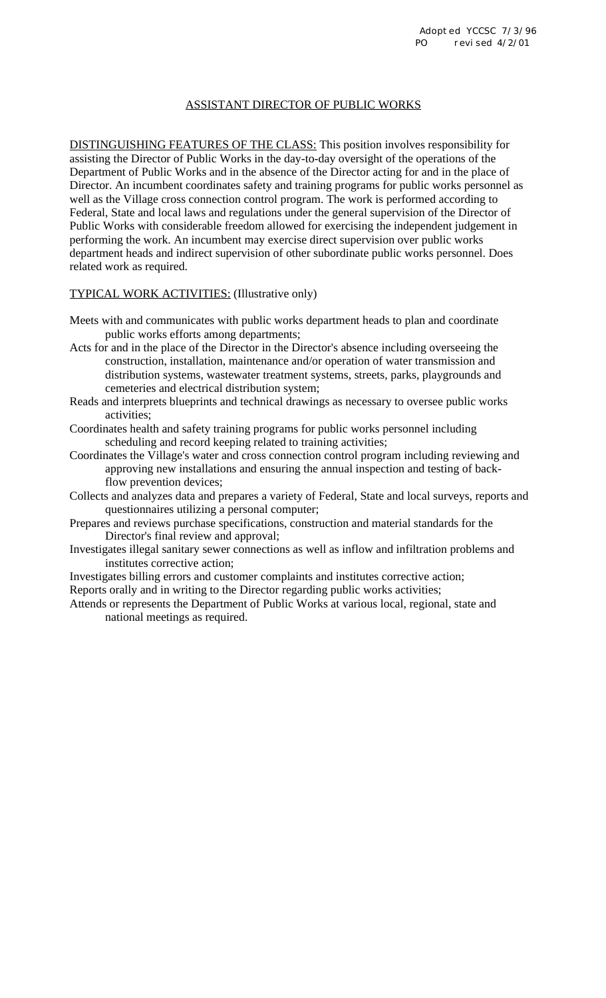## ASSISTANT DIRECTOR OF PUBLIC WORKS

DISTINGUISHING FEATURES OF THE CLASS: This position involves responsibility for assisting the Director of Public Works in the day-to-day oversight of the operations of the Department of Public Works and in the absence of the Director acting for and in the place of Director. An incumbent coordinates safety and training programs for public works personnel as well as the Village cross connection control program. The work is performed according to Federal, State and local laws and regulations under the general supervision of the Director of Public Works with considerable freedom allowed for exercising the independent judgement in performing the work. An incumbent may exercise direct supervision over public works department heads and indirect supervision of other subordinate public works personnel. Does related work as required.

TYPICAL WORK ACTIVITIES: (Illustrative only)

- Meets with and communicates with public works department heads to plan and coordinate public works efforts among departments;
- Acts for and in the place of the Director in the Director's absence including overseeing the construction, installation, maintenance and/or operation of water transmission and distribution systems, wastewater treatment systems, streets, parks, playgrounds and cemeteries and electrical distribution system;
- Reads and interprets blueprints and technical drawings as necessary to oversee public works activities;
- Coordinates health and safety training programs for public works personnel including scheduling and record keeping related to training activities;
- Coordinates the Village's water and cross connection control program including reviewing and approving new installations and ensuring the annual inspection and testing of backflow prevention devices;
- Collects and analyzes data and prepares a variety of Federal, State and local surveys, reports and questionnaires utilizing a personal computer;
- Prepares and reviews purchase specifications, construction and material standards for the Director's final review and approval;
- Investigates illegal sanitary sewer connections as well as inflow and infiltration problems and institutes corrective action;

Investigates billing errors and customer complaints and institutes corrective action; Reports orally and in writing to the Director regarding public works activities;

Attends or represents the Department of Public Works at various local, regional, state and national meetings as required.